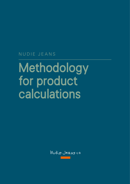## NUDIE JEANS

# Methodology for product calculations

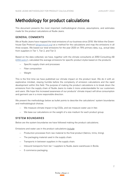## Methodology for product calculations

This document presents the most important methodological choices, assumptions, and estimates made for the product calculations at Nudie Jeans.

#### GENERAL COMMENTS

We at Nudie Jeans have mapped the total emissions of our business since 2018. We follow the Greenhouse Gas Protocol ([ghgprotocol.org\)](ghgprotocol.org) as a method for the calculations and map the emissions in all three scopes. We based our total emissions for the year 2020 on 75% primary data, e.g., actual data from suppliers in Tier 1, Tier 2, and Tier 3.

Based on the data collected, we have, together with the climate consultants at 2050 Consulting AB  $(2050.\text{se/en/})$ , calculated the average emissions for specific product styles based on the products:

- Specific supply chain and processes
- Fiber composition
- Weight

This is the first time we have published our climate impact on the product level. We do it with an explorative mindset, staying humble before the complexity of emission calculations and the rapid development within this field. The purpose of making the product calculations is to break down the emissions from the supply chain of Nudie Jeans to make it more understandable for our customers and users. We hope this increased awareness of our products' climate impact will drive consumption and garment use in a more responsible direction.

We present the methodology below as bullet points to describe the calculations' system boundaries and methodological choices.

- We measure climate impact in kg CO2e, and we measure water use in liter.
- We base our calculations on the weight of a size medium for each product group.

#### SYSTEM BOUNDARIES

Below are the system boundaries we have followed making the product calculations.

Emissions and water use in the product calculations include:

- Production processes from raw material to the final product (fabrics, trims, lining).
- The packaging material used in the supply chain.
- Transports in between suppliers in the supply chain.
- Inbound transports from tier 1 suppliers to Nudie Jeans warehouse in Borås.
- E-commerce packaging.

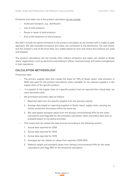Emissions and water use in the product calculation do not include:

- Outbound transport, e.g., distribution.
- Use of sold products.
- Reuse or repair of sold products.
- End-of-life treatment of sold products.

We didn't include the above emissions in the product calculation as we worked with a cradle-to-gate approach. We also excluded emissions and water use connected to the distribution, the user phase, and the product's end of life since they vary widely based on how and where the products are used and shipped.

The product calculations did not include other indirect emissions and water use related to Nudie Jeans' organization, such as electricity and heating in offices, business travel, and waste management in their operations.

### CALCUL ATION METHODOLOGY

Production data:

- The primary supplier data that creates the basis for 75% of Nudie Jeans' total emission in 2020 was used for the product calculations when available for the relevant suppliers in the supply chain of the specific product.
- If a supplier in the supply chain of a specific product had not reported their actual data, we used secondary data.
- We prioritized secondary data as follows:
	- 1. Reported data from the specific supplier from the previous year(s)
	- 2. Average data based on reporting suppliers in Nudie Jeans' supply chain carrying out similar production processes within the same tier.
	- 3. We used global standard values from the Kering's environmental KPIs for the water calculations and Higg MSI for the emissions calculation when secondary data was un available based on the above premises.
- This means that we ranked the data sources according to the following system:
	- 1. Actual data reported for 2020
	- 2. Actual data reported for 2019
	- 3. Actual data reported for 2018
	- 4. Averages per tier, based on values from reporters 2018-2020
	- 5. Material weight and standard values from Kering's environmental KPIs for the water calculations and Higg MSI for the emissions calculation.

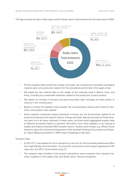

This figure shows the split of data types used for Nudie Jeans' total emissions for the entire year of 2020.

- Primary supplier data include fuel, energy, and water use in production processes, packaging material used, and production waste from the procedures performed in the supply chain.
- We based the raw material data on the weight of the materials used in fabrics, trims, and lining, including any sustainable attributes related to the production of each product.
- We expect an increase in primary and good secondary data coverage and data quality to improve in the coming years.
- Based on where the suppliers were located, the corresponding national grid mixes for electricity consumption were applied.
- Some suppliers conducted several processes in-house, but not all processes applied to all products produced at the specific factory. Energy and water data per process for these factories were not in all cases collected; in these cases, we broke down aggregated supplier data to different processes based on reported information from other suppliers or by looking at studies and relations between MSI emission factors. Studies used include, e.g., Mistra Future Fashion's report Environmental assessment of the Swedish Clothing Consumption and Quantis' report Measuring Fashion in WRI's report Roadmap to Net-Zero.

#### Transport data:

- An RFI of 2.7 was applied for all air transports to account for the increased greenhouse effect from high altitude cloud formation. The scientific conclusions on the impact regarding the RFI value vary, but IPCC recommends using 2.7.
- The transport data included in the product calculations were emissions from transport between suppliers in the supply chain and Nudie Jeans' inbound transports.